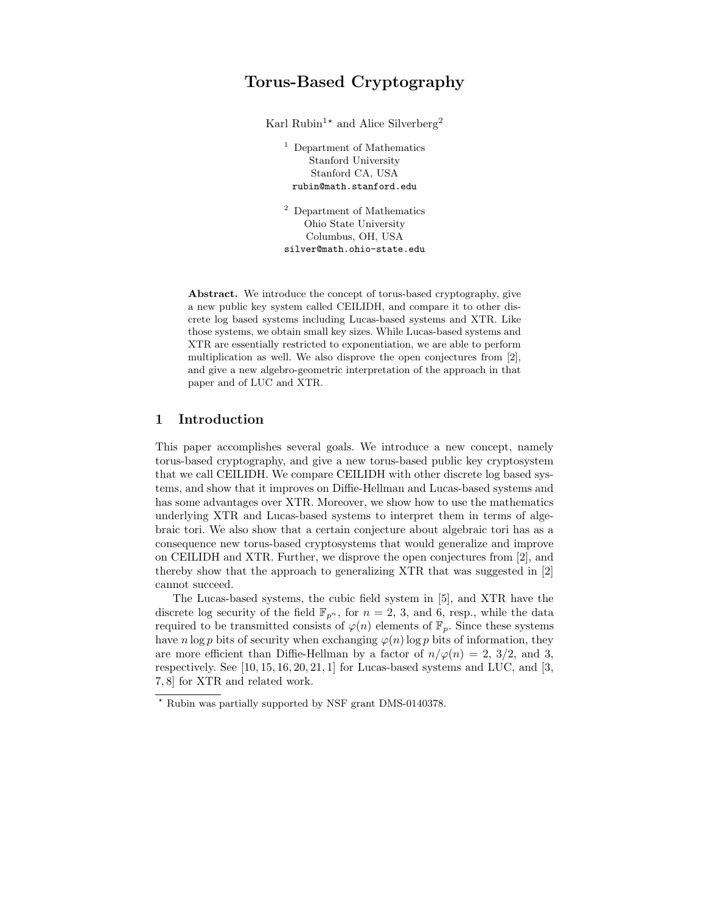# Torus-Based Cryptography

Karl Rubin<sup>1\*</sup> and Alice Silverberg<sup>2</sup>

<sup>1</sup> Department of Mathematics Stanford University Stanford CA, USA rubin@math.stanford.edu

<sup>2</sup> Department of Mathematics Ohio State University Columbus, OH, USA silver@math.ohio-state.edu

Abstract. We introduce the concept of torus-based cryptography, give a new public key system called CEILIDH, and compare it to other discrete log based systems including Lucas-based systems and XTR. Like those systems, we obtain small key sizes. While Lucas-based systems and XTR are essentially restricted to exponentiation, we are able to perform multiplication as well. We also disprove the open conjectures from [2], and give a new algebro-geometric interpretation of the approach in that paper and of LUC and XTR.

## 1 Introduction

This paper accomplishes several goals. We introduce a new concept, namely torus-based cryptography, and give a new torus-based public key cryptosystem that we call CEILIDH. We compare CEILIDH with other discrete log based systems, and show that it improves on Diffie-Hellman and Lucas-based systems and has some advantages over XTR. Moreover, we show how to use the mathematics underlying XTR and Lucas-based systems to interpret them in terms of algebraic tori. We also show that a certain conjecture about algebraic tori has as a consequence new torus-based cryptosystems that would generalize and improve on CEILIDH and XTR. Further, we disprove the open conjectures from [2], and thereby show that the approach to generalizing XTR that was suggested in [2] cannot succeed.

The Lucas-based systems, the cubic field system in [5], and XTR have the discrete log security of the field  $\mathbb{F}_{p^n}$ , for  $n = 2, 3$ , and 6, resp., while the data required to be transmitted consists of  $\varphi(n)$  elements of  $\mathbb{F}_p$ . Since these systems have n log p bits of security when exchanging  $\varphi(n)$  log p bits of information, they are more efficient than Diffie-Hellman by a factor of  $n/\varphi(n) = 2$ , 3/2, and 3, respectively. See [10, 15, 16, 20, 21, 1] for Lucas-based systems and LUC, and [3, 7, 8] for XTR and related work.

<sup>?</sup> Rubin was partially supported by NSF grant DMS-0140378.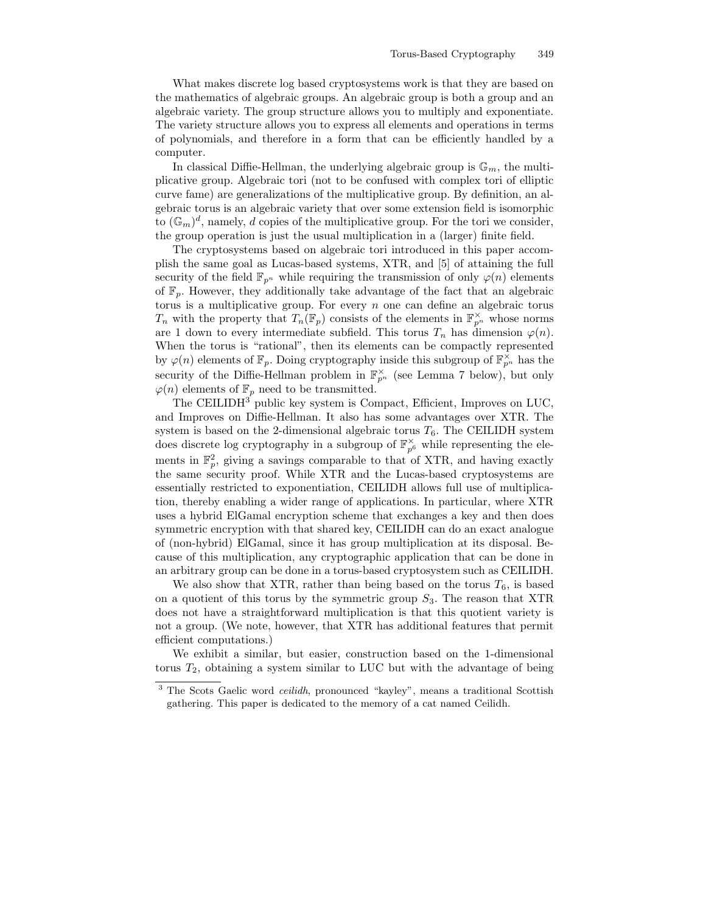What makes discrete log based cryptosystems work is that they are based on the mathematics of algebraic groups. An algebraic group is both a group and an algebraic variety. The group structure allows you to multiply and exponentiate. The variety structure allows you to express all elements and operations in terms of polynomials, and therefore in a form that can be efficiently handled by a computer.

In classical Diffie-Hellman, the underlying algebraic group is  $\mathbb{G}_m$ , the multiplicative group. Algebraic tori (not to be confused with complex tori of elliptic curve fame) are generalizations of the multiplicative group. By definition, an algebraic torus is an algebraic variety that over some extension field is isomorphic to  $(\mathbb{G}_m)^d$ , namely, d copies of the multiplicative group. For the tori we consider, the group operation is just the usual multiplication in a (larger) finite field.

The cryptosystems based on algebraic tori introduced in this paper accomplish the same goal as Lucas-based systems, XTR, and [5] of attaining the full security of the field  $\mathbb{F}_{p^n}$  while requiring the transmission of only  $\varphi(n)$  elements of  $\mathbb{F}_p$ . However, they additionally take advantage of the fact that an algebraic torus is a multiplicative group. For every  $n$  one can define an algebraic torus  $T_n$  with the property that  $T_n(\mathbb{F}_p)$  consists of the elements in  $\mathbb{F}_{p^n}^{\times}$  whose norms are 1 down to every intermediate subfield. This torus  $T_n$  has dimension  $\varphi(n)$ . When the torus is "rational", then its elements can be compactly represented by  $\varphi(n)$  elements of  $\mathbb{F}_p$ . Doing cryptography inside this subgroup of  $\mathbb{F}_{p^n}^{\times}$  has the security of the Diffie-Hellman problem in  $\mathbb{F}_{p^n}^{\times}$  (see Lemma 7 below), but only  $\varphi(n)$  elements of  $\mathbb{F}_p$  need to be transmitted.

The CEILIDH<sup>3</sup> public key system is Compact, Efficient, Improves on LUC, and Improves on Diffie-Hellman. It also has some advantages over XTR. The system is based on the 2-dimensional algebraic torus  $T_6$ . The CEILIDH system does discrete log cryptography in a subgroup of  $\mathbb{F}_{p^6}^{\times}$  while representing the elements in  $\mathbb{F}_p^2$ , giving a savings comparable to that of XTR, and having exactly the same security proof. While XTR and the Lucas-based cryptosystems are essentially restricted to exponentiation, CEILIDH allows full use of multiplication, thereby enabling a wider range of applications. In particular, where XTR uses a hybrid ElGamal encryption scheme that exchanges a key and then does symmetric encryption with that shared key, CEILIDH can do an exact analogue of (non-hybrid) ElGamal, since it has group multiplication at its disposal. Because of this multiplication, any cryptographic application that can be done in an arbitrary group can be done in a torus-based cryptosystem such as CEILIDH.

We also show that XTR, rather than being based on the torus  $T_6$ , is based on a quotient of this torus by the symmetric group  $S_3$ . The reason that XTR does not have a straightforward multiplication is that this quotient variety is not a group. (We note, however, that XTR has additional features that permit efficient computations.)

We exhibit a similar, but easier, construction based on the 1-dimensional torus  $T_2$ , obtaining a system similar to LUC but with the advantage of being

<sup>&</sup>lt;sup>3</sup> The Scots Gaelic word *ceilidh*, pronounced "kayley", means a traditional Scottish gathering. This paper is dedicated to the memory of a cat named Ceilidh.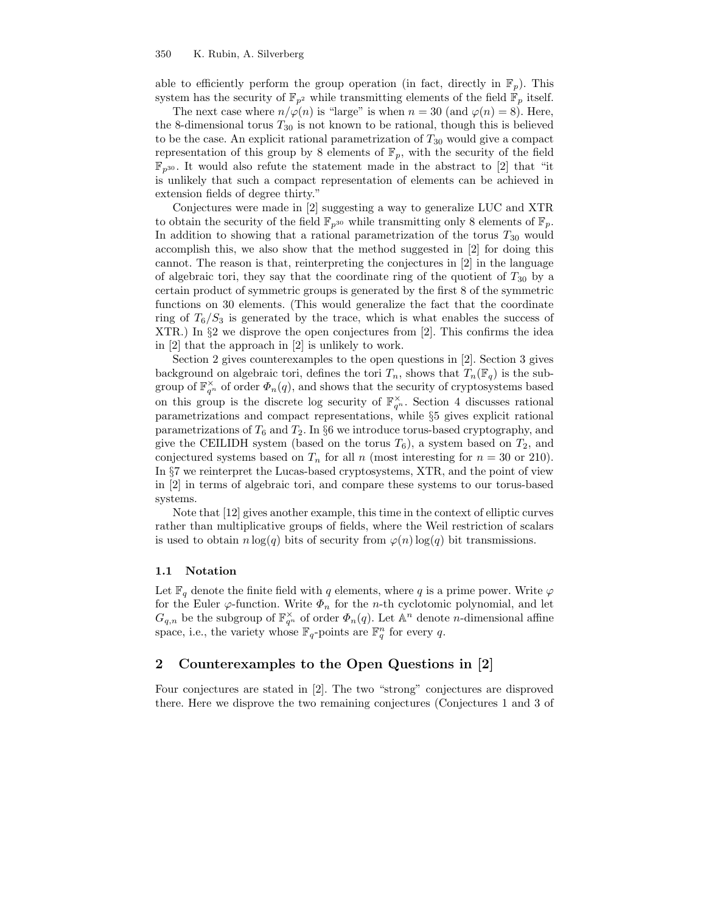able to efficiently perform the group operation (in fact, directly in  $\mathbb{F}_p$ ). This system has the security of  $\mathbb{F}_{p^2}$  while transmitting elements of the field  $\mathbb{F}_p$  itself.

The next case where  $n/\varphi(n)$  is "large" is when  $n = 30$  (and  $\varphi(n) = 8$ ). Here, the 8-dimensional torus  $T_{30}$  is not known to be rational, though this is believed to be the case. An explicit rational parametrization of  $T_{30}$  would give a compact representation of this group by 8 elements of  $\mathbb{F}_p$ , with the security of the field  $\mathbb{F}_{p^{30}}$ . It would also refute the statement made in the abstract to [2] that "it is unlikely that such a compact representation of elements can be achieved in extension fields of degree thirty."

Conjectures were made in [2] suggesting a way to generalize LUC and XTR to obtain the security of the field  $\mathbb{F}_{p^{30}}$  while transmitting only 8 elements of  $\mathbb{F}_p$ . In addition to showing that a rational parametrization of the torus  $T_{30}$  would accomplish this, we also show that the method suggested in [2] for doing this cannot. The reason is that, reinterpreting the conjectures in [2] in the language of algebraic tori, they say that the coordinate ring of the quotient of  $T_{30}$  by a certain product of symmetric groups is generated by the first 8 of the symmetric functions on 30 elements. (This would generalize the fact that the coordinate ring of  $T_6/S_3$  is generated by the trace, which is what enables the success of  $XTR.$ ) In  $\S2$  we disprove the open conjectures from [2]. This confirms the idea in [2] that the approach in [2] is unlikely to work.

Section 2 gives counterexamples to the open questions in [2]. Section 3 gives background on algebraic tori, defines the tori  $T_n$ , shows that  $T_n(\mathbb{F}_q)$  is the subgroup of  $\mathbb{F}_{q^n}^{\times}$  of order  $\Phi_n(q)$ , and shows that the security of cryptosystems based on this group is the discrete log security of  $\mathbb{F}_{q^n}^{\times}$ . Section 4 discusses rational parametrizations and compact representations, while §5 gives explicit rational parametrizations of  $T_6$  and  $T_2$ . In §6 we introduce torus-based cryptography, and give the CEILIDH system (based on the torus  $T_6$ ), a system based on  $T_2$ , and conjectured systems based on  $T_n$  for all n (most interesting for  $n = 30$  or 210). In §7 we reinterpret the Lucas-based cryptosystems, XTR, and the point of view in [2] in terms of algebraic tori, and compare these systems to our torus-based systems.

Note that [12] gives another example, this time in the context of elliptic curves rather than multiplicative groups of fields, where the Weil restriction of scalars is used to obtain  $n \log(q)$  bits of security from  $\varphi(n) \log(q)$  bit transmissions.

### 1.1 Notation

Let  $\mathbb{F}_q$  denote the finite field with q elements, where q is a prime power. Write  $\varphi$ for the Euler  $\varphi$ -function. Write  $\Phi_n$  for the *n*-th cyclotomic polynomial, and let  $G_{q,n}$  be the subgroup of  $\mathbb{F}_{q^n}^{\times}$  of order  $\Phi_n(q)$ . Let  $\mathbb{A}^n$  denote *n*-dimensional affine space, i.e., the variety whose  $\mathbb{F}_q$ -points are  $\mathbb{F}_q^n$  for every q.

# 2 Counterexamples to the Open Questions in [2]

Four conjectures are stated in [2]. The two "strong" conjectures are disproved there. Here we disprove the two remaining conjectures (Conjectures 1 and 3 of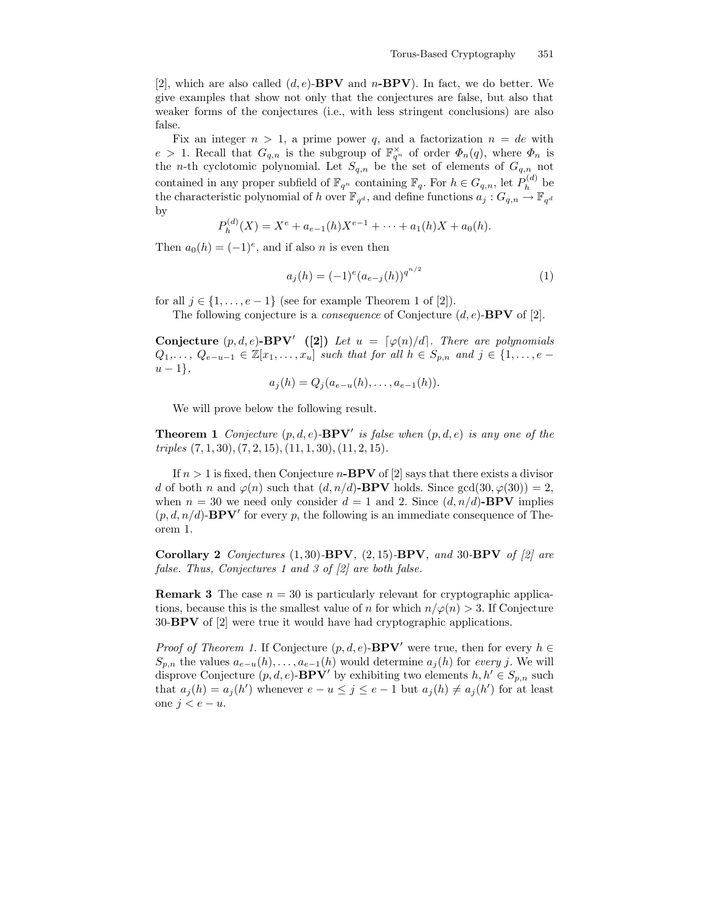[2], which are also called  $(d, e)$ -**BPV** and n-**BPV**). In fact, we do better. We give examples that show not only that the conjectures are false, but also that weaker forms of the conjectures (i.e., with less stringent conclusions) are also false.

Fix an integer  $n > 1$ , a prime power q, and a factorization  $n = de$  with  $e > 1$ . Recall that  $G_{q,n}$  is the subgroup of  $\mathbb{F}_{q^n}^{\times}$  of order  $\Phi_n(q)$ , where  $\Phi_n$  is the *n*-th cyclotomic polynomial. Let  $S_{q,n}$  be the set of elements of  $G_{q,n}$  not contained in any proper subfield of  $\mathbb{F}_{q^n}$  containing  $\mathbb{F}_q$ . For  $h \in G_{q,n}$ , let  $P_h^{(d)}$  $h^{(u)}$  be the characteristic polynomial of h over  $\mathbb{F}_{q^d}$ , and define functions  $a_j : G_{q,n} \to \mathbb{F}_{q^d}$ by

$$
P_h^{(d)}(X) = X^e + a_{e-1}(h)X^{e-1} + \cdots + a_1(h)X + a_0(h).
$$

Then  $a_0(h) = (-1)^e$ , and if also *n* is even then

$$
a_j(h) = (-1)^e (a_{e-j}(h))^{q^{n/2}}
$$
\n(1)

for all  $j \in \{1, \ldots, e-1\}$  (see for example Theorem 1 of [2]).

The following conjecture is a *consequence* of Conjecture  $(d, e)$ -**BPV** of [2].

**Conjecture**  $(p, d, e)$ **-BPV'** ([2]) Let  $u = \lceil \varphi(n)/d \rceil$ . There are polynomials  $Q_1,\ldots,Q_{e-u-1}\in\mathbb{Z}[x_1,\ldots,x_u]$  such that for all  $h\in S_{p,n}$  and  $j\in\{1,\ldots,e-1\}$  $u-1\},\,$ 

$$
a_j(h) = Q_j(a_{e-u}(h), \ldots, a_{e-1}(h)).
$$

We will prove below the following result.

**Theorem 1** Conjecture  $(p, d, e)$ -**BPV'** is false when  $(p, d, e)$  is any one of the  $triples (7, 1, 30), (7, 2, 15), (11, 1, 30), (11, 2, 15).$ 

If  $n > 1$  is fixed, then Conjecture n-**BPV** of [2] says that there exists a divisor d of both n and  $\varphi(n)$  such that  $(d, n/d)$ -BPV holds. Since gcd $(30, \varphi(30)) = 2$ , when  $n = 30$  we need only consider  $d = 1$  and 2. Since  $(d, n/d)$ -BPV implies  $(p, d, n/d)$ -**BPV**' for every p, the following is an immediate consequence of Theorem 1.

Corollary 2 Conjectures  $(1, 30)$ -BPV,  $(2, 15)$ -BPV, and 30-BPV of  $[2]$  are false. Thus, Conjectures 1 and 3 of [2] are both false.

**Remark 3** The case  $n = 30$  is particularly relevant for cryptographic applications, because this is the smallest value of n for which  $n/\varphi(n) > 3$ . If Conjecture 30-BPV of [2] were true it would have had cryptographic applications.

*Proof of Theorem 1.* If Conjecture  $(p, d, e)$ -**BPV'** were true, then for every  $h \in$  $S_{p,n}$  the values  $a_{e-u}(h), \ldots, a_{e-1}(h)$  would determine  $a_j(h)$  for every j. We will disprove Conjecture  $(p, d, e)$ -**BPV**' by exhibiting two elements  $h, h' \in S_{p,n}$  such that  $a_j(h) = a_j(h')$  whenever  $e - u \leq j \leq e - 1$  but  $a_j(h) \neq a_j(h')$  for at least one  $j < e − u$ .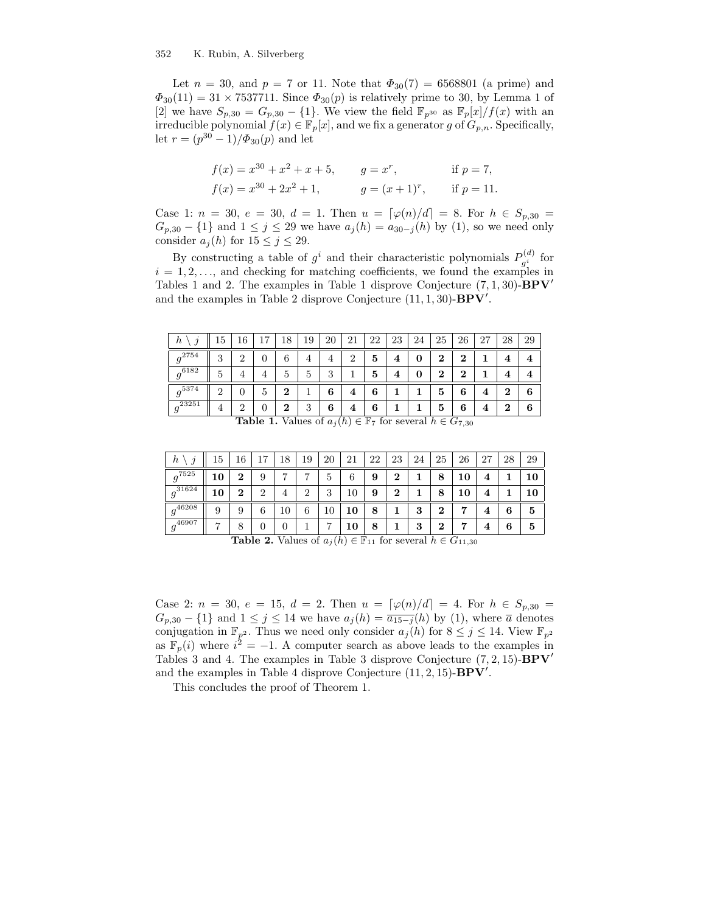Let  $n = 30$ , and  $p = 7$  or 11. Note that  $\Phi_{30}(7) = 6568801$  (a prime) and  $\Phi_{30}(11) = 31 \times 7537711$ . Since  $\Phi_{30}(p)$  is relatively prime to 30, by Lemma 1 of [2] we have  $S_{p,30} = G_{p,30} - \{1\}$ . We view the field  $\mathbb{F}_{p^{30}}$  as  $\mathbb{F}_p[x]/f(x)$  with an irreducible polynomial  $f(x) \in \mathbb{F}_p[x]$ , and we fix a generator g of  $G_{p,n}$ . Specifically, let  $r = (p^{30} - 1)/\Phi_{30}(p)$  and let

$$
f(x) = x^{30} + x^2 + x + 5, \t\t g = x^r, \t\t \text{if } p = 7,
$$
  

$$
f(x) = x^{30} + 2x^2 + 1, \t\t g = (x+1)^r, \t\t \text{if } p = 11.
$$

Case 1:  $n = 30$ ,  $e = 30$ ,  $d = 1$ . Then  $u = [\varphi(n)/d] = 8$ . For  $h \in S_{p,30} =$  $G_{p,30} - \{1\}$  and  $1 \leq j \leq 29$  we have  $a_j(h) = a_{30-j}(h)$  by (1), so we need only consider  $a_j(h)$  for  $15 \le j \le 29$ .

By constructing a table of  $g^i$  and their characteristic polynomials  $P_{a^i}^{(d)}$  $g_i^{(u)}$  for  $i = 1, 2, \ldots$ , and checking for matching coefficients, we found the examples in Tables 1 and 2. The examples in Table 1 disprove Conjecture  $(7, 1, 30)$ - $BPV'$ and the examples in Table 2 disprove Conjecture  $(11, 1, 30)$ - $BPV'$ .

| n                     | 15.      |   | − | 18       | 19 | 20      | 21 | 22 | 23 | 24 | 25 | 26 | 27 | 28             | 29 |
|-----------------------|----------|---|---|----------|----|---------|----|----|----|----|----|----|----|----------------|----|
| .2754                 | 9<br>U   | റ |   | 6        | 4  | 4       | 9  | 5  | 4  | 0  | 2  | 2  |    | $\overline{4}$ |    |
| $\overline{g^{6182}}$ | 5.       |   | 4 | 5.       | 5  | ച<br>IJ |    | 5  | 4  | 0  | ച  | 2  |    | 4              |    |
| 5374                  | $\Omega$ | 0 | Ð | $\bf{2}$ |    | 6       | 4  | 6  |    |    | 5  | 6  | 4  | $\bf{2}$       | 6  |
| 23251                 | 4        | റ |   | $\bf{2}$ | 3  | 6       | 4  | 6  |    |    | 5  | 6  | 4  | $\bf{2}$       | 6  |

**Table 1.** Values of  $a_j(h) \in \mathbb{F}_7$  for several  $h \in G_{7,30}$ 

| $\hbar$<br>v | 5              | .6     | ⇁      | 8  | 19     | 20 | 21 | 22 | 23       | 24 | 25               | 26 | 27<br>$\overline{z}$ , | 28 | 29 |
|--------------|----------------|--------|--------|----|--------|----|----|----|----------|----|------------------|----|------------------------|----|----|
| $g^{7525}$   | 10             | ົ<br>∠ | ره     | −  | −      | ð  | 6  | 9  | ച<br>∠   |    | 8                | 10 | 4                      |    | 10 |
| $a^{31624}$  | 10             | ച<br>∠ | റ<br>↩ | 4  | റ<br>∠ | 3  | 10 | 9  | $\bf{2}$ |    | 8                | 10 |                        |    |    |
| $a^{46208}$  | 9              | Q      | 6      | 10 | 6      | 10 | 10 | 8  |          | 3  | $\boldsymbol{2}$ |    | 4                      | 6  | 5  |
| $-46907$     | $\overline{ }$ | O<br>Ο |        |    |        | −  | 10 | 8  |          | 3  | ച                |    | -                      | 6  | 5  |

**Table 2.** Values of  $a_j(h) \in \mathbb{F}_{11}$  for several  $h \in G_{11,30}$ 

Case 2:  $n = 30, e = 15, d = 2$ . Then  $u = [\varphi(n)/d] = 4$ . For  $h \in S_{p,30}$  $G_{p,30} - \{1\}$  and  $1 \leq j \leq 14$  we have  $a_j(h) = \overline{a_{15-j}(h)}$  by (1), where  $\overline{a}$  denotes conjugation in  $\mathbb{F}_{p^2}$ . Thus we need only consider  $a_j(h)$  for  $8 \leq j \leq 14$ . View  $\mathbb{F}_{p^2}$ as  $\mathbb{F}_p(i)$  where  $i^2 = -1$ . A computer search as above leads to the examples in Tables 3 and 4. The examples in Table 3 disprove Conjecture  $(7, 2, 15)$ - $BPV'$ and the examples in Table 4 disprove Conjecture  $(11, 2, 15)$ - $BPV'$ .

This concludes the proof of Theorem 1.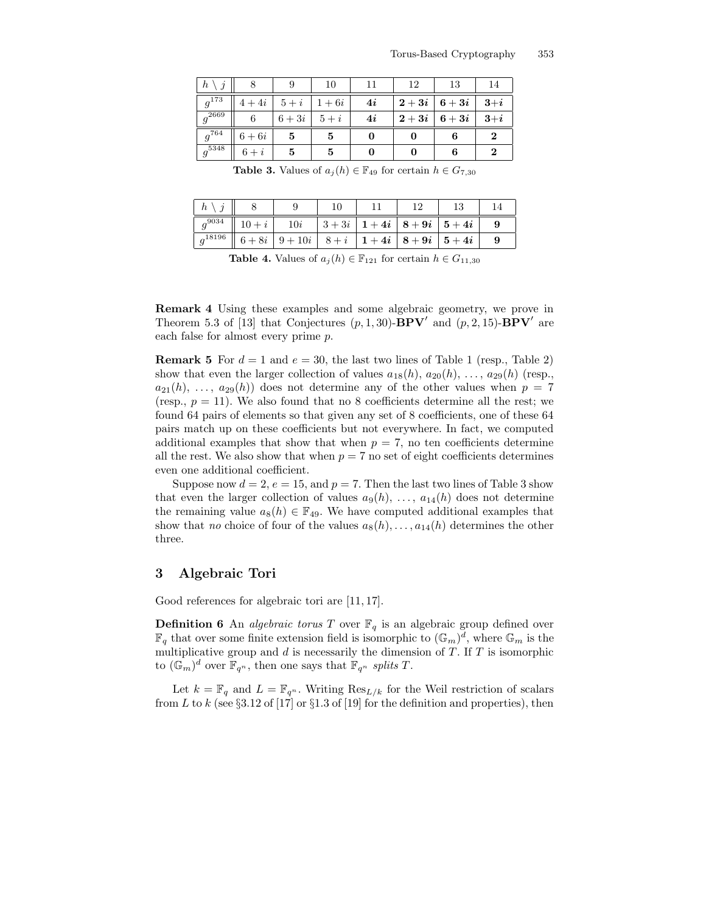| h<br>$\hat{\jmath}$   |        |        | 10     |    | 12            | 13     | 14            |  |
|-----------------------|--------|--------|--------|----|---------------|--------|---------------|--|
| $g^{173}$             | $4+4i$ | $5+i$  | $1+6i$ | 4i | $2+3i$ 6 + 3i |        | $3+i$         |  |
| $g^{2669}$            | 6      | $6+3i$ | $5+i$  | 4i | $2+3i$        | $6+3i$ | $3+i$         |  |
| $g^{764}$             | $6+6i$ | 5      | 5      |    |               | 6      | $\mathcal{D}$ |  |
| $\overline{g^{5348}}$ | $6+i$  | 5      | 5      |    |               | 6      | $\mathcal{D}$ |  |

**Table 3.** Values of  $a_i(h) \in \mathbb{F}_{49}$  for certain  $h \in G_{7,30}$ 

| $\lfloor h \rfloor$ |                                                                           |  |  |  |
|---------------------|---------------------------------------------------------------------------|--|--|--|
| $a^{9034}$          | $\  10 + i \  10i \  3 + 3i \  1 + 4i \  8 + 9i \  5 + 4i \ $             |  |  |  |
| $q^{18196}$         | $\vert 6+8i \vert 9+10i \vert 8+i \vert 1+4i \vert 8+9i \vert 5+4i \vert$ |  |  |  |

Table 4. Values of  $a_j(h) \in \mathbb{F}_{121}$  for certain  $h \in G_{11,30}$ 

Remark 4 Using these examples and some algebraic geometry, we prove in Theorem 5.3 of [13] that Conjectures  $(p, 1, 30)$ -**BPV'** and  $(p, 2, 15)$ -**BPV'** are each false for almost every prime p.

**Remark 5** For  $d = 1$  and  $e = 30$ , the last two lines of Table 1 (resp., Table 2) show that even the larger collection of values  $a_{18}(h), a_{20}(h), \ldots, a_{29}(h)$  (resp.,  $a_{21}(h), \ldots, a_{29}(h)$  does not determine any of the other values when  $p = 7$ (resp.,  $p = 11$ ). We also found that no 8 coefficients determine all the rest; we found 64 pairs of elements so that given any set of 8 coefficients, one of these 64 pairs match up on these coefficients but not everywhere. In fact, we computed additional examples that show that when  $p = 7$ , no ten coefficients determine all the rest. We also show that when  $p = 7$  no set of eight coefficients determines even one additional coefficient.

Suppose now  $d = 2$ ,  $e = 15$ , and  $p = 7$ . Then the last two lines of Table 3 show that even the larger collection of values  $a_9(h), \ldots, a_{14}(h)$  does not determine the remaining value  $a_8(h) \in \mathbb{F}_{49}$ . We have computed additional examples that show that no choice of four of the values  $a_8(h), \ldots, a_{14}(h)$  determines the other three.

# 3 Algebraic Tori

Good references for algebraic tori are [11, 17].

**Definition 6** An *algebraic torus* T over  $\mathbb{F}_q$  is an algebraic group defined over  $\mathbb{F}_q$  that over some finite extension field is isomorphic to  $(\mathbb{G}_m)^d$ , where  $\mathbb{G}_m$  is the multiplicative group and  $d$  is necessarily the dimension of  $T$ . If  $T$  is isomorphic to  $(\mathbb{G}_m)^d$  over  $\mathbb{F}_{q^n}$ , then one says that  $\mathbb{F}_{q^n}$  splits T.

Let  $k = \mathbb{F}_q$  and  $L = \mathbb{F}_{q^n}$ . Writing  $\text{Res}_{L/k}$  for the Weil restriction of scalars from L to k (see §3.12 of [17] or §1.3 of [19] for the definition and properties), then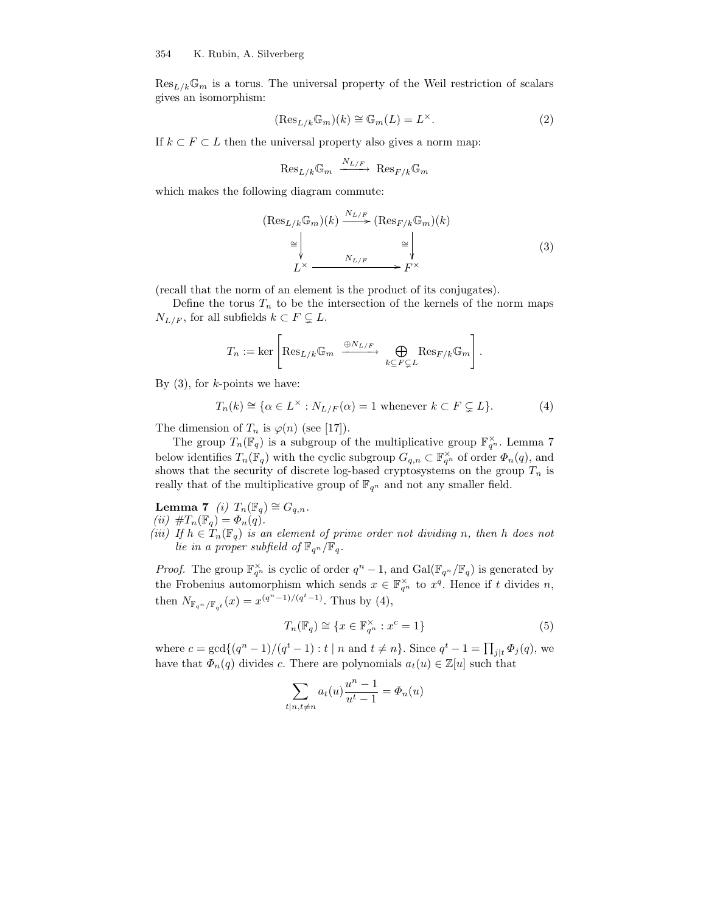$\text{Res}_{L/k}\mathbb{G}_m$  is a torus. The universal property of the Weil restriction of scalars gives an isomorphism:

$$
(\operatorname{Res}_{L/k}\mathbb{G}_m)(k) \cong \mathbb{G}_m(L) = L^{\times}.
$$
 (2)

If  $k \subset F \subset L$  then the universal property also gives a norm map:

$$
\text{Res}_{L/k} \mathbb{G}_m \xrightarrow{N_{L/F}} \text{Res}_{F/k} \mathbb{G}_m
$$

which makes the following diagram commute:

$$
(\text{Res}_{L/k}\mathbb{G}_m)(k) \xrightarrow{N_{L/F}} (\text{Res}_{F/k}\mathbb{G}_m)(k)
$$

$$
\cong \downarrow \qquad \searrow \qquad \searrow
$$

$$
L^{\times} \xrightarrow{N_{L/F}} \xrightarrow{F^{\times}}
$$
 (3)

(recall that the norm of an element is the product of its conjugates).

Define the torus  $T_n$  to be the intersection of the kernels of the norm maps  $N_{L/F}$ , for all subfields  $k \subset F \subsetneq L$ .

$$
T_n := \ker \left[ \text{Res}_{L/k} \mathbb{G}_m \xrightarrow{\oplus N_{L/F}} \bigoplus_{k \subseteq F \subsetneq L} \text{Res}_{F/k} \mathbb{G}_m \right].
$$

By  $(3)$ , for k-points we have:

$$
T_n(k) \cong \{ \alpha \in L^{\times} : N_{L/F}(\alpha) = 1 \text{ whenever } k \subset F \subsetneq L \}. \tag{4}
$$

The dimension of  $T_n$  is  $\varphi(n)$  (see [17]).

The group  $T_n(\mathbb{F}_q)$  is a subgroup of the multiplicative group  $\mathbb{F}_{q^n}^{\times}$ . Lemma 7 below identifies  $T_n(\mathbb{F}_q)$  with the cyclic subgroup  $G_{q,n} \subset \mathbb{F}_{q^n}^{\times}$  of order  $\Phi_n(q)$ , and shows that the security of discrete log-based cryptosystems on the group  $T_n$  is really that of the multiplicative group of  $\mathbb{F}_{q^n}$  and not any smaller field.

Lemma 7 (i)  $T_n(\mathbb{F}_q) \cong G_{q,n}$ . (ii)  $\#T_n(\mathbb{F}_q) = \Phi_n(q)$ .

(iii) If  $h \in T_n(\mathbb{F}_q)$  is an element of prime order not dividing n, then h does not lie in a proper subfield of  $\mathbb{F}_{q^n}/\mathbb{F}_q$ .

*Proof.* The group  $\mathbb{F}_{q^n}^{\times}$  is cyclic of order  $q^n - 1$ , and  $Gal(\mathbb{F}_{q^n}/\mathbb{F}_q)$  is generated by the Frobenius automorphism which sends  $x \in \mathbb{F}_{q^n}^{\times}$  to  $x^q$ . Hence if t divides n, then  $N_{\mathbb{F}_{q^n}/\mathbb{F}_{q^t}}(x) = x^{(q^n-1)/(q^t-1)}$ . Thus by (4),

$$
T_n(\mathbb{F}_q) \cong \{ x \in \mathbb{F}_{q^n}^{\times} : x^c = 1 \}
$$
\n
$$
(5)
$$

where  $c = \gcd\{(q^n - 1)/(q^t - 1) : t \mid n \text{ and } t \neq n\}$ . Since  $q^t - 1 = \prod_{j \mid t} \Phi_j(q)$ , we have that  $\Phi_n(q)$  divides c. There are polynomials  $a_t(u) \in \mathbb{Z}[u]$  such that

$$
\sum_{t|n,t\neq n} a_t(u) \frac{u^n - 1}{u^t - 1} = \Phi_n(u)
$$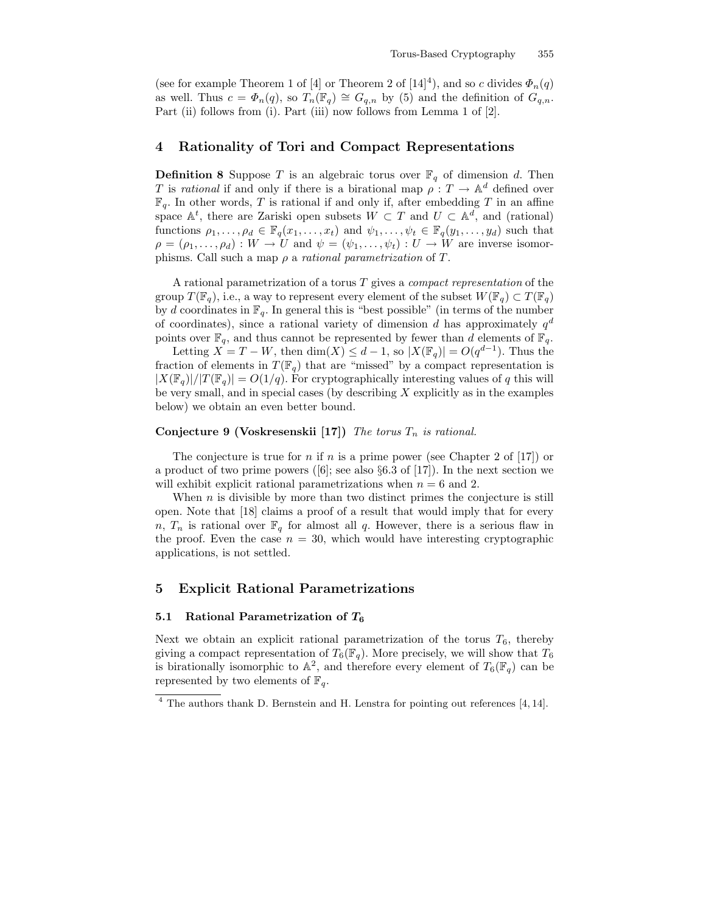(see for example Theorem 1 of [4] or Theorem 2 of [14]<sup>4</sup>), and so c divides  $\Phi_n(q)$ as well. Thus  $c = \Phi_n(q)$ , so  $T_n(\mathbb{F}_q) \cong G_{q,n}$  by (5) and the definition of  $G_{q,n}$ . Part (ii) follows from (i). Part (iii) now follows from Lemma 1 of [2].

# 4 Rationality of Tori and Compact Representations

**Definition 8** Suppose T is an algebraic torus over  $\mathbb{F}_q$  of dimension d. Then T is rational if and only if there is a birational map  $\rho : T \to \mathbb{A}^d$  defined over  $\mathbb{F}_q.$  In other words,  $T$  is rational if and only if, after embedding  $T$  in an affine space  $\mathbb{A}^t$ , there are Zariski open subsets  $W \subset T$  and  $U \subset \mathbb{A}^d$ , and (rational) functions  $\rho_1, \ldots, \rho_d \in \mathbb{F}_q(x_1, \ldots, x_t)$  and  $\psi_1, \ldots, \psi_t \in \mathbb{F}_q(y_1, \ldots, y_d)$  such that  $\rho = (\rho_1, \ldots, \rho_d) : W \to U$  and  $\psi = (\psi_1, \ldots, \psi_t) : U \to W$  are inverse isomorphisms. Call such a map  $\rho$  a *rational parametrization* of T.

A rational parametrization of a torus T gives a compact representation of the group  $T(\mathbb{F}_q)$ , i.e., a way to represent every element of the subset  $W(\mathbb{F}_q) \subset T(\mathbb{F}_q)$ by d coordinates in  $\mathbb{F}_q$ . In general this is "best possible" (in terms of the number of coordinates), since a rational variety of dimension d has approximately  $q<sup>d</sup>$ points over  $\mathbb{F}_q$ , and thus cannot be represented by fewer than d elements of  $\mathbb{F}_q$ .

Letting  $X = T - W$ , then  $\dim(X) \leq d - 1$ , so  $|X(\mathbb{F}_q)| = O(q^{d-1})$ . Thus the fraction of elements in  $T(\mathbb{F}_q)$  that are "missed" by a compact representation is  $|X(\mathbb{F}_q)|/|T(\mathbb{F}_q)| = O(1/q)$ . For cryptographically interesting values of q this will be very small, and in special cases (by describing  $X$  explicitly as in the examples below) we obtain an even better bound.

### Conjecture 9 (Voskresenskii [17]) The torus  $T_n$  is rational.

The conjecture is true for *n* if *n* is a prime power (see Chapter 2 of [17]) or a product of two prime powers ([6]; see also  $\S 6.3$  of [17]). In the next section we will exhibit explicit rational parametrizations when  $n = 6$  and 2.

When  $n$  is divisible by more than two distinct primes the conjecture is still open. Note that [18] claims a proof of a result that would imply that for every n,  $T_n$  is rational over  $\mathbb{F}_q$  for almost all q. However, there is a serious flaw in the proof. Even the case  $n = 30$ , which would have interesting cryptographic applications, is not settled.

# 5 Explicit Rational Parametrizations

#### 5.1 Rational Parametrization of  $T_6$

Next we obtain an explicit rational parametrization of the torus  $T_6$ , thereby giving a compact representation of  $T_6(\mathbb{F}_q)$ . More precisely, we will show that  $T_6$ is birationally isomorphic to  $\mathbb{A}^2$ , and therefore every element of  $T_6(\mathbb{F}_q)$  can be represented by two elements of  $\mathbb{F}_q$ .

<sup>4</sup> The authors thank D. Bernstein and H. Lenstra for pointing out references [4, 14].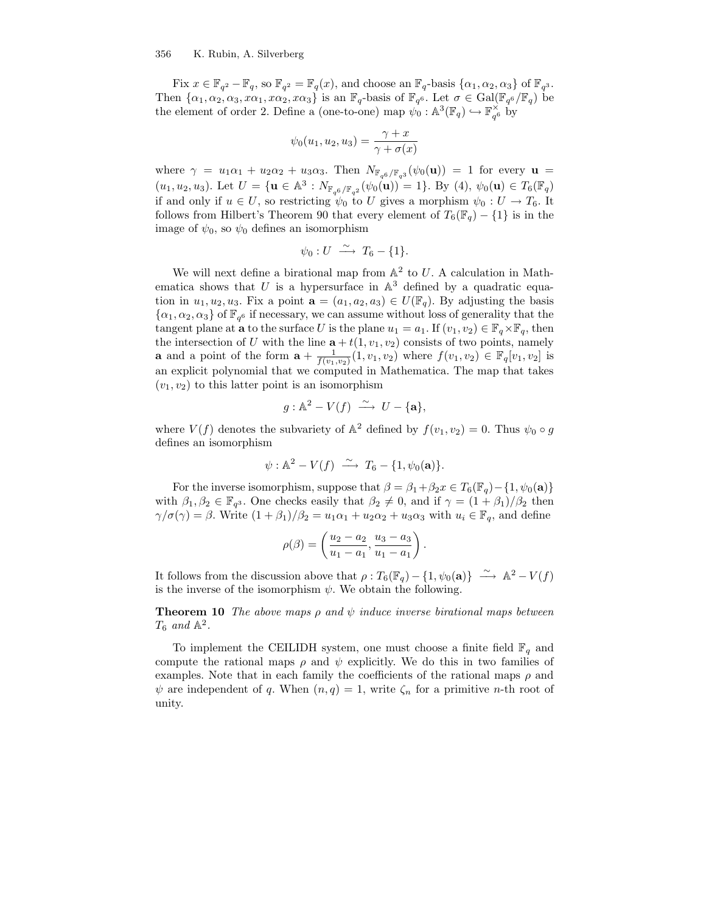#### 356 K. Rubin, A. Silverberg

Fix  $x \in \mathbb{F}_{q^2} - \mathbb{F}_q$ , so  $\mathbb{F}_{q^2} = \mathbb{F}_q(x)$ , and choose an  $\mathbb{F}_q$ -basis  $\{\alpha_1, \alpha_2, \alpha_3\}$  of  $\mathbb{F}_q$ <sup>3</sup>. Then  $\{\alpha_1, \alpha_2, \alpha_3, x\alpha_1, x\alpha_2, x\alpha_3\}$  is an  $\mathbb{F}_q$ -basis of  $\mathbb{F}_{q^6}$ . Let  $\sigma \in \text{Gal}(\mathbb{F}_{q^6}/\mathbb{F}_q)$  be the element of order 2. Define a (one-to-one) map  $\psi_0 : \mathbb{A}^3(\mathbb{F}_q) \hookrightarrow \mathbb{F}_{q^6}^{\times}$  by

$$
\psi_0(u_1, u_2, u_3) = \frac{\gamma + x}{\gamma + \sigma(x)}
$$

where  $\gamma = u_1 \alpha_1 + u_2 \alpha_2 + u_3 \alpha_3$ . Then  $N_{\mathbb{F}_{q^6}/\mathbb{F}_{q^3}}(\psi_0(\mathbf{u})) = 1$  for every  $\mathbf{u} =$  $(u_1, u_2, u_3)$ . Let  $U = \{ \mathbf{u} \in \mathbb{A}^3 : N_{\mathbb{F}_{q^6}/\mathbb{F}_{q^2}}(\psi_0(\mathbf{u})) = 1 \}$ . By (4),  $\psi_0(\mathbf{u}) \in T_6(\mathbb{F}_q)$ if and only if  $u \in U$ , so restricting  $\psi_0$  to U gives a morphism  $\psi_0: U \to T_6$ . It follows from Hilbert's Theorem 90 that every element of  $T_6(\mathbb{F}_q) - \{1\}$  is in the image of  $\psi_0$ , so  $\psi_0$  defines an isomorphism

$$
\psi_0: U \; \xrightarrow{\sim} \; T_6 - \{1\}.
$$

We will next define a birational map from  $\mathbb{A}^2$  to U. A calculation in Mathematica shows that U is a hypersurface in  $\mathbb{A}^3$  defined by a quadratic equation in  $u_1, u_2, u_3$ . Fix a point  $\mathbf{a} = (a_1, a_2, a_3) \in U(\mathbb{F}_q)$ . By adjusting the basis  $\{\alpha_1, \alpha_2, \alpha_3\}$  of  $\mathbb{F}_{q^6}$  if necessary, we can assume without loss of generality that the tangent plane at **a** to the surface U is the plane  $u_1 = a_1$ . If  $(v_1, v_2) \in \mathbb{F}_q \times \mathbb{F}_q$ , then the intersection of U with the line  $\mathbf{a} + t(1, v_1, v_2)$  consists of two points, namely **a** and a point of the form  $\mathbf{a} + \frac{1}{f(v_1, v_2)}(1, v_1, v_2)$  where  $f(v_1, v_2) \in \mathbb{F}_q[v_1, v_2]$  is an explicit polynomial that we computed in Mathematica. The map that takes  $(v_1, v_2)$  to this latter point is an isomorphism

$$
g: \mathbb{A}^2 - V(f) \stackrel{\sim}{\longrightarrow} U - {\{a\}},
$$

where  $V(f)$  denotes the subvariety of  $\mathbb{A}^2$  defined by  $f(v_1, v_2) = 0$ . Thus  $\psi_0 \circ g$ defines an isomorphism

$$
\psi: \mathbb{A}^2 - V(f) \xrightarrow{\sim} T_6 - \{1, \psi_0(\mathbf{a})\}.
$$

For the inverse isomorphism, suppose that  $\beta = \beta_1 + \beta_2 x \in T_6(\mathbb{F}_q) - \{1, \psi_0(\mathbf{a})\}$ with  $\beta_1, \beta_2 \in \mathbb{F}_{q^3}$ . One checks easily that  $\beta_2 \neq 0$ , and if  $\gamma = (1 + \beta_1)/\beta_2$  then  $\gamma/\sigma(\gamma) = \beta$ . Write  $(1 + \beta_1)/\beta_2 = u_1\alpha_1 + u_2\alpha_2 + u_3\alpha_3$  with  $u_i \in \mathbb{F}_q$ , and define

$$
\rho(\beta) = \left(\frac{u_2 - a_2}{u_1 - a_1}, \frac{u_3 - a_3}{u_1 - a_1}\right)
$$

.

It follows from the discussion above that  $\rho: T_6(\mathbb{F}_q) - \{1, \psi_0(\mathbf{a})\} \longrightarrow \mathbb{A}^2 - V(f)$ is the inverse of the isomorphism  $\psi$ . We obtain the following.

**Theorem 10** The above maps  $\rho$  and  $\psi$  induce inverse birational maps between  $T_6$  and  $\mathbb{A}^2$ .

To implement the CEILIDH system, one must choose a finite field  $\mathbb{F}_q$  and compute the rational maps  $\rho$  and  $\psi$  explicitly. We do this in two families of examples. Note that in each family the coefficients of the rational maps  $\rho$  and  $\psi$  are independent of q. When  $(n, q) = 1$ , write  $\zeta_n$  for a primitive n-th root of unity.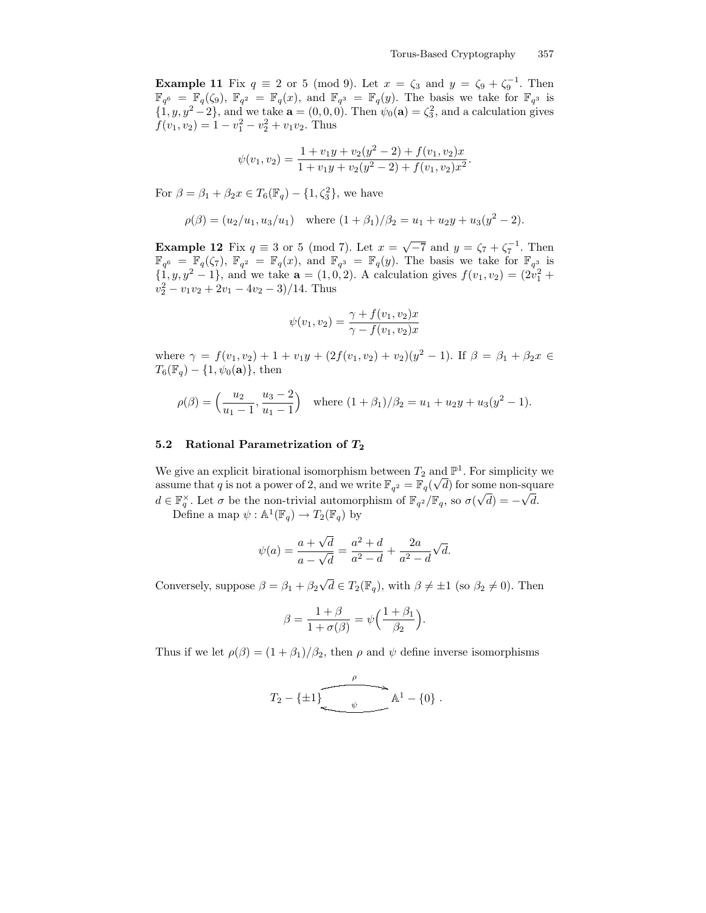Example 11 Fix  $q \equiv 2$  or 5 (mod 9). Let  $x = \zeta_3$  and  $y = \zeta_9 + \zeta_9^{-1}$ . Then  $\mathbb{F}_{q^6} = \mathbb{F}_q(\zeta_9), \ \mathbb{F}_{q^2} = \mathbb{F}_q(x)$ , and  $\mathbb{F}_{q^3} = \mathbb{F}_q(y)$ . The basis we take for  $\mathbb{F}_{q^3}$  is  $\{1, y, y^2 - 2\}$ , and we take  $\mathbf{a} = (0, 0, 0)$ . Then  $\psi_0(\mathbf{a}) = \zeta_3^2$ , and a calculation gives  $f(v_1, v_2) = 1 - v_1^2 - v_2^2 + v_1v_2$ . Thus

$$
\psi(v_1, v_2) = \frac{1 + v_1 y + v_2 (y^2 - 2) + f(v_1, v_2) x}{1 + v_1 y + v_2 (y^2 - 2) + f(v_1, v_2) x^2}.
$$

For  $\beta = \beta_1 + \beta_2 x \in T_6(\mathbb{F}_q) - \{1, \zeta_3^2\}$ , we have

$$
\rho(\beta) = (u_2/u_1, u_3/u_1)
$$
 where  $(1 + \beta_1)/\beta_2 = u_1 + u_2y + u_3(y^2 - 2)$ .

Example 12 Fix  $q \equiv 3$  or 5 (mod 7). Let  $x = \sqrt{-7}$  and  $y = \zeta_7 + \zeta_7^{-1}$ . Then  $\mathbb{F}_{q^6} = \mathbb{F}_q(\zeta_7), \ \mathbb{F}_{q^2} = \mathbb{F}_q(x)$ , and  $\mathbb{F}_{q^3} = \mathbb{F}_q(y)$ . The basis we take for  $\mathbb{F}_{q^3}$  is  $\{1, y, y^2 - 1\}$ , and we take  $\mathbf{a} = (1, 0, 2)$ . A calculation gives  $f(v_1, v_2) = (2v_1^2 + 1)$  $v_2^2 - v_1v_2 + 2v_1 - 4v_2 - 3$ /14. Thus

$$
\psi(v_1, v_2) = \frac{\gamma + f(v_1, v_2)x}{\gamma - f(v_1, v_2)x}
$$

where  $\gamma = f(v_1, v_2) + 1 + v_1y + (2f(v_1, v_2) + v_2)(y^2 - 1)$ . If  $\beta = \beta_1 + \beta_2 x \in$  $T_6(\mathbb{F}_q) - \{1, \psi_0(\mathbf{a})\},\$  then

$$
\rho(\beta) = \left(\frac{u_2}{u_1 - 1}, \frac{u_3 - 2}{u_1 - 1}\right) \quad \text{where } (1 + \beta_1)/\beta_2 = u_1 + u_2y + u_3(y^2 - 1).
$$

### 5.2 Rational Parametrization of  $T_2$

We give an explicit birational isomorphism between  $T_2$  and  $\mathbb{P}^1$ . For simplicity we assume that q is not a power of 2, and we write  $\mathbb{F}_{q^2} = \mathbb{F}_q(\sqrt{d})$  for some non-square  $d \in \mathbb{F}_q^\times$ . Let  $\sigma$  be the non-trivial automorphism of  $\mathbb{F}_{q^2}/\mathbb{F}_q$ , so  $\sigma(\sqrt{d}) = -\sqrt{d}$ .

Define a map  $\psi : \mathbb{A}^1(\mathbb{F}_q) \to T_2(\mathbb{F}_q)$  by

$$
\psi(a) = \frac{a + \sqrt{d}}{a - \sqrt{d}} = \frac{a^2 + d}{a^2 - d} + \frac{2a}{a^2 - d} \sqrt{d}.
$$

Conversely, suppose  $\beta = \beta_1 + \beta_2 \sqrt{d} \in T_2(\mathbb{F}_q)$ , with  $\beta \neq \pm 1$  (so  $\beta_2 \neq 0$ ). Then

$$
\beta = \frac{1+\beta}{1+\sigma(\beta)} = \psi\Big(\frac{1+\beta_1}{\beta_2}\Big).
$$

Thus if we let  $\rho(\beta) = (1 + \beta_1)/\beta_2$ , then  $\rho$  and  $\psi$  define inverse isomorphisms

$$
T_2 - \{\pm 1\}
$$
  $\downarrow$   $\mathbb{A}^1 - \{0\}$ .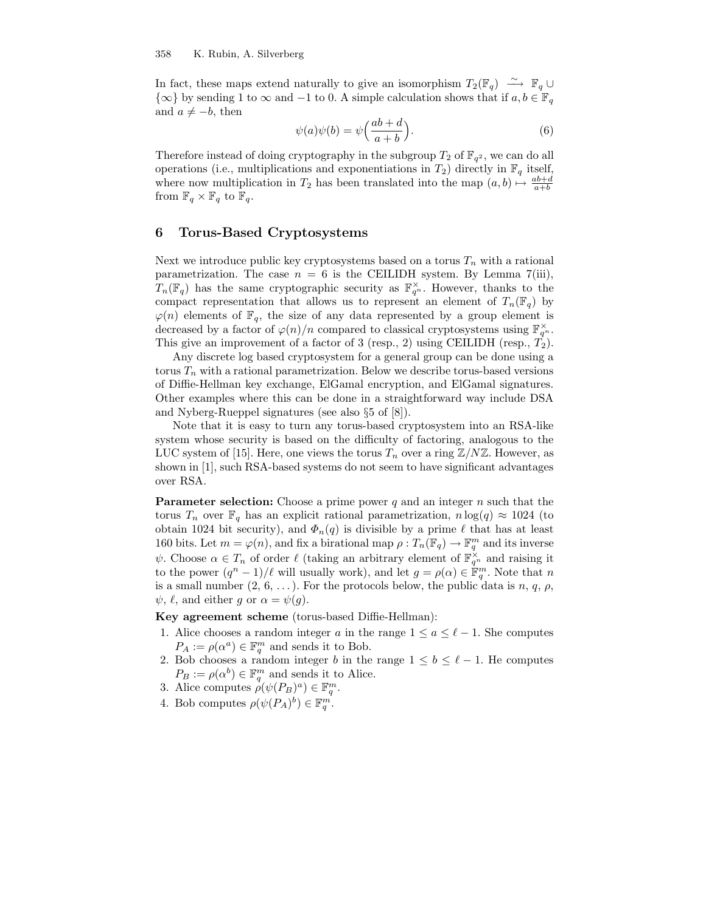In fact, these maps extend naturally to give an isomorphism  $T_2(\mathbb{F}_q) \longrightarrow \mathbb{F}_q \cup$  $\{\infty\}$  by sending 1 to  $\infty$  and  $-1$  to 0. A simple calculation shows that if  $a, b \in \mathbb{F}_q$ and  $a \neq -b$ , then

$$
\psi(a)\psi(b) = \psi\left(\frac{ab+d}{a+b}\right). \tag{6}
$$

Therefore instead of doing cryptography in the subgroup  $T_2$  of  $\mathbb{F}_{q^2}$ , we can do all operations (i.e., multiplications and exponentiations in  $T_2$ ) directly in  $\mathbb{F}_q$  itself, where now multiplication in  $T_2$  has been translated into the map  $(a, b) \mapsto \frac{ab+d}{a+b}$ from  $\mathbb{F}_q \times \mathbb{F}_q$  to  $\mathbb{F}_q$ .

## 6 Torus-Based Cryptosystems

Next we introduce public key cryptosystems based on a torus  $T_n$  with a rational parametrization. The case  $n = 6$  is the CEILIDH system. By Lemma 7(iii),  $T_n(\mathbb{F}_q)$  has the same cryptographic security as  $\mathbb{F}_{q^n}^{\times}$ . However, thanks to the compact representation that allows us to represent an element of  $T_n(\mathbb{F}_q)$  by  $\varphi(n)$  elements of  $\mathbb{F}_q$ , the size of any data represented by a group element is decreased by a factor of  $\varphi(n)/n$  compared to classical cryptosystems using  $\mathbb{F}_{q^n}^{\times}$ . This give an improvement of a factor of 3 (resp., 2) using CEILIDH (resp.,  $T_2$ ).

Any discrete log based cryptosystem for a general group can be done using a torus  $T_n$  with a rational parametrization. Below we describe torus-based versions of Diffie-Hellman key exchange, ElGamal encryption, and ElGamal signatures. Other examples where this can be done in a straightforward way include DSA and Nyberg-Rueppel signatures (see also §5 of [8]).

Note that it is easy to turn any torus-based cryptosystem into an RSA-like system whose security is based on the difficulty of factoring, analogous to the LUC system of [15]. Here, one views the torus  $T_n$  over a ring  $\mathbb{Z}/N\mathbb{Z}$ . However, as shown in [1], such RSA-based systems do not seem to have significant advantages over RSA.

**Parameter selection:** Choose a prime power q and an integer  $n$  such that the torus  $T_n$  over  $\mathbb{F}_q$  has an explicit rational parametrization,  $n \log(q) \approx 1024$  (to obtain 1024 bit security), and  $\Phi_n(q)$  is divisible by a prime  $\ell$  that has at least 160 bits. Let  $m = \varphi(n)$ , and fix a birational map  $\rho : T_n(\mathbb{F}_q) \to \mathbb{F}_q^m$  and its inverse  $\psi$ . Choose  $\alpha \in T_n$  of order  $\ell$  (taking an arbitrary element of  $\mathbb{F}_{q^n}^{\times}$  and raising it to the power  $(q^n - 1)/\ell$  will usually work), and let  $g = \rho(\alpha) \in \mathbb{F}_q^m$ . Note that n is a small number  $(2, 6, \ldots)$ . For the protocols below, the public data is n, q,  $\rho$ ,  $\psi, \ell$ , and either g or  $\alpha = \psi(g)$ .

Key agreement scheme (torus-based Diffie-Hellman):

- 1. Alice chooses a random integer a in the range  $1 \le a \le \ell 1$ . She computes  $P_A := \rho(\alpha^a) \in \mathbb{F}_q^m$  and sends it to Bob.
- 2. Bob chooses a random integer b in the range  $1 \leq b \leq \ell 1$ . He computes  $P_B := \rho(\alpha^b) \in \mathbb{F}_q^m$  and sends it to Alice.
- 3. Alice computes  $\rho(\psi(P_B)^a) \in \mathbb{F}_q^m$ .
- 4. Bob computes  $\rho(\psi(P_A)^b) \in \mathbb{F}_q^m$ .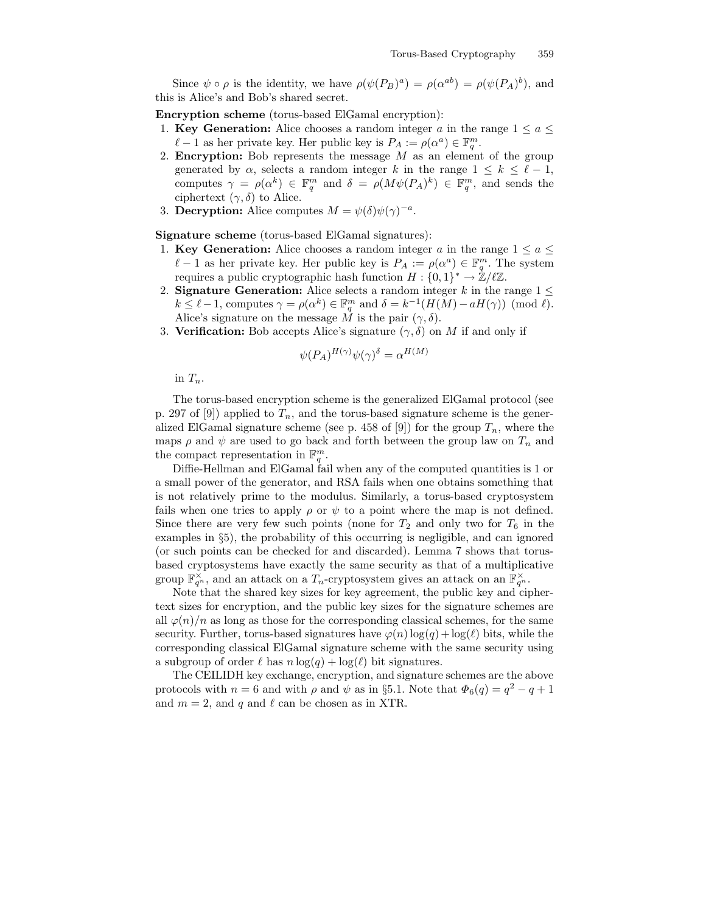Since  $\psi \circ \rho$  is the identity, we have  $\rho(\psi(P_B)^a) = \rho(\alpha^{ab}) = \rho(\psi(P_A)^b)$ , and this is Alice's and Bob's shared secret.

Encryption scheme (torus-based ElGamal encryption):

- 1. Key Generation: Alice chooses a random integer a in the range  $1 \le a \le$  $\ell - 1$  as her private key. Her public key is  $P_A := \rho(\alpha^a) \in \mathbb{F}_q^m$ .
- 2. **Encryption:** Bob represents the message  $M$  as an element of the group generated by  $\alpha$ , selects a random integer k in the range  $1 \leq k \leq \ell - 1$ , computes  $\gamma = \rho(\alpha^k) \in \mathbb{F}_q^m$  and  $\delta = \rho(M\psi(P_A)^k) \in \mathbb{F}_q^m$ , and sends the ciphertext  $(\gamma, \delta)$  to Alice.
- 3. Decryption: Alice computes  $M = \psi(\delta)\psi(\gamma)^{-a}$ .

Signature scheme (torus-based ElGamal signatures):

- 1. Key Generation: Alice chooses a random integer a in the range  $1 \le a \le$  $\ell - 1$  as her private key. Her public key is  $P_A := \rho(\alpha^a) \in \mathbb{F}_q^m$ . The system requires a public cryptographic hash function  $H: \{0,1\}^* \to \mathbb{Z}/\ell\mathbb{Z}$ .
- 2. **Signature Generation:** Alice selects a random integer k in the range  $1 \leq$  $k \leq \ell - 1$ , computes  $\gamma = \rho(\alpha^k) \in \mathbb{F}_q^m$  and  $\delta = k^{-1}(H(M) - aH(\gamma)) \pmod{\ell}$ . Alice's signature on the message  $\tilde{M}$  is the pair  $(\gamma, \delta)$ .
- 3. Verification: Bob accepts Alice's signature  $(\gamma, \delta)$  on M if and only if

$$
\psi(P_A)^{H(\gamma)}\psi(\gamma)^\delta = \alpha^{H(M)}
$$

in  $T_n$ .

The torus-based encryption scheme is the generalized ElGamal protocol (see p. 297 of [9]) applied to  $T_n$ , and the torus-based signature scheme is the generalized ElGamal signature scheme (see p. 458 of [9]) for the group  $T_n$ , where the maps  $\rho$  and  $\psi$  are used to go back and forth between the group law on  $T_n$  and the compact representation in  $\mathbb{F}_q^m$ .

Diffie-Hellman and ElGamal fail when any of the computed quantities is 1 or a small power of the generator, and RSA fails when one obtains something that is not relatively prime to the modulus. Similarly, a torus-based cryptosystem fails when one tries to apply  $\rho$  or  $\psi$  to a point where the map is not defined. Since there are very few such points (none for  $T_2$  and only two for  $T_6$  in the examples in §5), the probability of this occurring is negligible, and can ignored (or such points can be checked for and discarded). Lemma 7 shows that torusbased cryptosystems have exactly the same security as that of a multiplicative group  $\mathbb{F}_{q^n}^{\times}$ , and an attack on a  $T_n$ -cryptosystem gives an attack on an  $\mathbb{F}_{q^n}^{\times}$ .

Note that the shared key sizes for key agreement, the public key and ciphertext sizes for encryption, and the public key sizes for the signature schemes are all  $\varphi(n)/n$  as long as those for the corresponding classical schemes, for the same security. Further, torus-based signatures have  $\varphi(n) \log(q) + \log(\ell)$  bits, while the corresponding classical ElGamal signature scheme with the same security using a subgroup of order  $\ell$  has  $n \log(q) + \log(\ell)$  bit signatures.

The CEILIDH key exchange, encryption, and signature schemes are the above protocols with  $n = 6$  and with  $\rho$  and  $\psi$  as in §5.1. Note that  $\Phi_6(q) = q^2 - q + 1$ and  $m = 2$ , and q and  $\ell$  can be chosen as in XTR.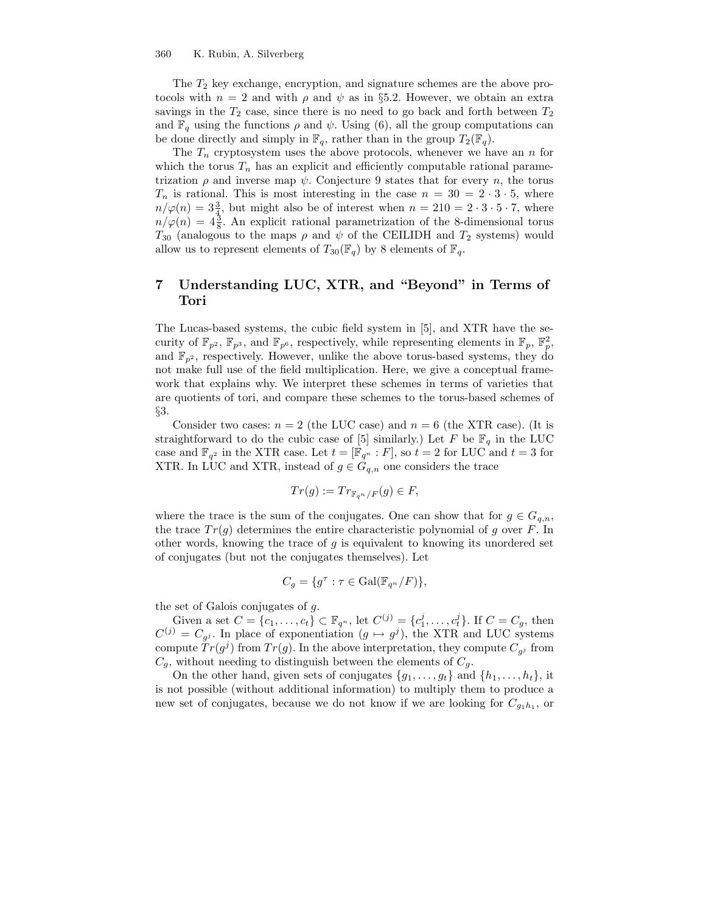The  $T_2$  key exchange, encryption, and signature schemes are the above protocols with  $n = 2$  and with  $\rho$  and  $\psi$  as in §5.2. However, we obtain an extra savings in the  $T_2$  case, since there is no need to go back and forth between  $T_2$ and  $\mathbb{F}_q$  using the functions  $\rho$  and  $\psi$ . Using (6), all the group computations can be done directly and simply in  $\mathbb{F}_q$ , rather than in the group  $T_2(\mathbb{F}_q)$ .

The  $T_n$  cryptosystem uses the above protocols, whenever we have an n for which the torus  $T_n$  has an explicit and efficiently computable rational parametrization  $\rho$  and inverse map  $\psi$ . Conjecture 9 states that for every n, the torus  $T_n$  is rational. This is most interesting in the case  $n = 30 = 2 \cdot 3 \cdot 5$ , where  $n/\varphi(n) = 3\frac{3}{4}$ , but might also be of interest when  $n = 210 = 2 \cdot 3 \cdot 5 \cdot 7$ , where  $n/\varphi(n) = 4\frac{3}{8}$ . An explicit rational parametrization of the 8-dimensional torus  $T_{30}$  (analogous to the maps  $\rho$  and  $\psi$  of the CEILIDH and  $T_2$  systems) would allow us to represent elements of  $T_{30}(\mathbb{F}_q)$  by 8 elements of  $\mathbb{F}_q$ .

# 7 Understanding LUC, XTR, and "Beyond" in Terms of Tori

The Lucas-based systems, the cubic field system in [5], and XTR have the security of  $\mathbb{F}_{p^2}$ ,  $\mathbb{F}_{p^3}$ , and  $\mathbb{F}_{p^6}$ , respectively, while representing elements in  $\mathbb{F}_p$ ,  $\mathbb{F}_p^2$ , and  $\mathbb{F}_{n^2}$ , respectively. However, unlike the above torus-based systems, they do not make full use of the field multiplication. Here, we give a conceptual framework that explains why. We interpret these schemes in terms of varieties that are quotients of tori, and compare these schemes to the torus-based schemes of §3.

Consider two cases:  $n = 2$  (the LUC case) and  $n = 6$  (the XTR case). (It is straightforward to do the cubic case of [5] similarly.) Let F be  $\mathbb{F}_q$  in the LUC case and  $\mathbb{F}_{q^2}$  in the XTR case. Let  $t = [\mathbb{F}_{q^n} : F]$ , so  $t = 2$  for LUC and  $t = 3$  for XTR. In LUC and XTR, instead of  $g \in G_{q,n}$  one considers the trace

$$
Tr(g) := Tr_{\mathbb{F}_{q^n}/F}(g) \in F,
$$

where the trace is the sum of the conjugates. One can show that for  $g \in G_{q,n}$ , the trace  $Tr(g)$  determines the entire characteristic polynomial of g over F. In other words, knowing the trace of  $g$  is equivalent to knowing its unordered set of conjugates (but not the conjugates themselves). Let

$$
C_g = \{ g^{\tau} : \tau \in \text{Gal}(\mathbb{F}_{q^n}/F) \},
$$

the set of Galois conjugates of g.

Given a set  $C = \{c_1, ..., c_t\} \subset \mathbb{F}_{q^n}$ , let  $C^{(j)} = \{c_1^j, ..., c_t^j\}$ . If  $C = C_g$ , then  $C^{(j)} = C_{g^j}$ . In place of exponentiation  $(g \mapsto g^j)$ , the XTR and LUC systems compute  $Tr(g^{j})$  from  $Tr(g)$ . In the above interpretation, they compute  $C_{g^{j}}$  from  $C_q$ , without needing to distinguish between the elements of  $C_q$ .

On the other hand, given sets of conjugates  $\{g_1, \ldots, g_t\}$  and  $\{h_1, \ldots, h_t\}$ , it is not possible (without additional information) to multiply them to produce a new set of conjugates, because we do not know if we are looking for  $C_{g_1h_1}$ , or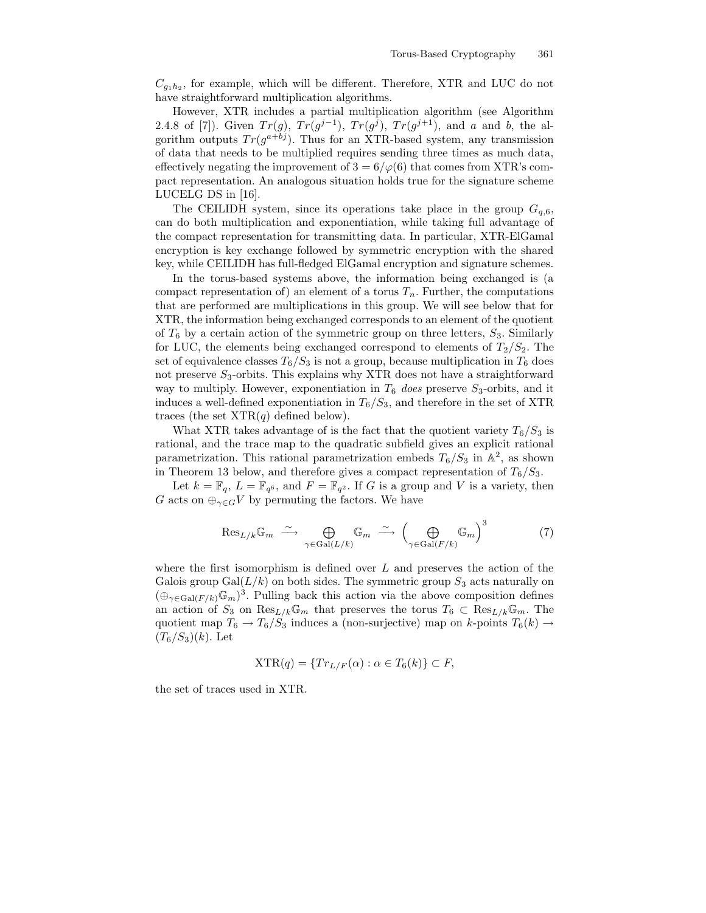$C_{g_1h_2}$ , for example, which will be different. Therefore, XTR and LUC do not have straightforward multiplication algorithms.

However, XTR includes a partial multiplication algorithm (see Algorithm 2.4.8 of [7]). Given  $Tr(g)$ ,  $Tr(g^{j-1})$ ,  $Tr(g^{j})$ ,  $Tr(g^{j+1})$ , and a and b, the algorithm outputs  $Tr(g^{a+bj})$ . Thus for an XTR-based system, any transmission of data that needs to be multiplied requires sending three times as much data, effectively negating the improvement of  $3 = 6/\varphi(6)$  that comes from XTR's compact representation. An analogous situation holds true for the signature scheme LUCELG DS in [16].

The CEILIDH system, since its operations take place in the group  $G_{q,6}$ , can do both multiplication and exponentiation, while taking full advantage of the compact representation for transmitting data. In particular, XTR-ElGamal encryption is key exchange followed by symmetric encryption with the shared key, while CEILIDH has full-fledged ElGamal encryption and signature schemes.

In the torus-based systems above, the information being exchanged is (a compact representation of) an element of a torus  $T_n$ . Further, the computations that are performed are multiplications in this group. We will see below that for XTR, the information being exchanged corresponds to an element of the quotient of  $T_6$  by a certain action of the symmetric group on three letters,  $S_3$ . Similarly for LUC, the elements being exchanged correspond to elements of  $T_2/S_2$ . The set of equivalence classes  $T_6/S_3$  is not a group, because multiplication in  $T_6$  does not preserve  $S_3$ -orbits. This explains why XTR does not have a straightforward way to multiply. However, exponentiation in  $T_6$  does preserve  $S_3$ -orbits, and it induces a well-defined exponentiation in  $T_6/S_3$ , and therefore in the set of XTR traces (the set  $XTR(q)$  defined below).

What XTR takes advantage of is the fact that the quotient variety  $T_6/S_3$  is rational, and the trace map to the quadratic subfield gives an explicit rational parametrization. This rational parametrization embeds  $T_6/S_3$  in  $\mathbb{A}^2$ , as shown in Theorem 13 below, and therefore gives a compact representation of  $T_6/S_3$ .

Let  $k = \mathbb{F}_q$ ,  $L = \mathbb{F}_{q^6}$ , and  $F = \mathbb{F}_{q^2}$ . If G is a group and V is a variety, then G acts on  $\bigoplus_{\gamma\in G}V$  by permuting the factors. We have

$$
\operatorname{Res}_{L/k} \mathbb{G}_m \stackrel{\sim}{\longrightarrow} \bigoplus_{\gamma \in \operatorname{Gal}(L/k)} \mathbb{G}_m \stackrel{\sim}{\longrightarrow} \left(\bigoplus_{\gamma \in \operatorname{Gal}(F/k)} \mathbb{G}_m\right)^3 \tag{7}
$$

where the first isomorphism is defined over  $L$  and preserves the action of the Galois group Gal $(L/k)$  on both sides. The symmetric group  $S_3$  acts naturally on  $(\bigoplus_{\gamma \in \text{Gal}(F/k)} \mathbb{G}_m)^3$ . Pulling back this action via the above composition defines an action of  $S_3$  on  $\text{Res}_{L/k}\mathbb{G}_m$  that preserves the torus  $T_6 \subset \text{Res}_{L/k}\mathbb{G}_m$ . The quotient map  $T_6 \to T_6/S_3$  induces a (non-surjective) map on k-points  $T_6(k) \to$  $(T_6/S_3)(k)$ . Let

$$
XTR(q) = \{Tr_{L/F}(\alpha) : \alpha \in T_6(k)\} \subset F,
$$

the set of traces used in XTR.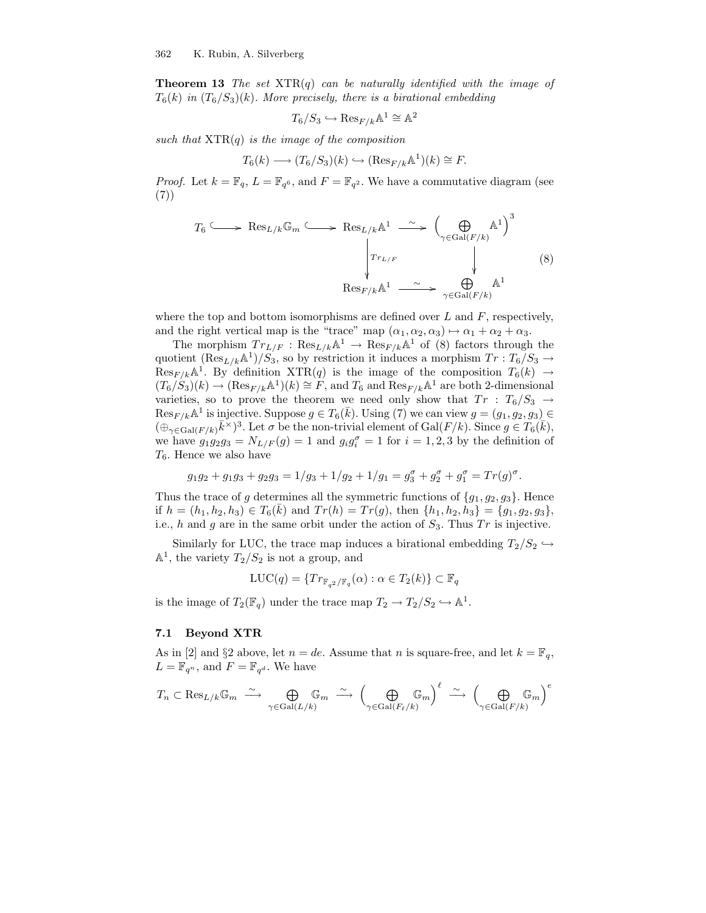**Theorem 13** The set  $XTR(q)$  can be naturally identified with the image of  $T_6(k)$  in  $(T_6/S_3)(k)$ . More precisely, there is a birational embedding

$$
T_6/S_3 \hookrightarrow \mathrm{Res}_{F/k}\mathbb{A}^1 \cong \mathbb{A}^2
$$

such that  $XTR(q)$  is the image of the composition

$$
T_6(k) \longrightarrow (T_6/S_3)(k) \hookrightarrow (\text{Res}_{F/k} \mathbb{A}^1)(k) \cong F.
$$

*Proof.* Let  $k = \mathbb{F}_q$ ,  $L = \mathbb{F}_{q^6}$ , and  $F = \mathbb{F}_{q^2}$ . We have a commutative diagram (see (7))

$$
T_6 \longrightarrow \text{Res}_{L/k} \mathbb{G}_m \longrightarrow \text{Res}_{L/k} \mathbb{A}^1 \longrightarrow \left(\bigoplus_{\gamma \in \text{Gal}(F/k)} \mathbb{A}^1\right)^3
$$

$$
\downarrow \qquad \qquad \downarrow \qquad \qquad \downarrow \qquad (8)
$$

$$
\text{Res}_{F/k} \mathbb{A}^1 \longrightarrow \bigoplus_{\gamma \in \text{Gal}(F/k)} \mathbb{A}^1
$$

where the top and bottom isomorphisms are defined over  $L$  and  $F$ , respectively, and the right vertical map is the "trace" map  $(\alpha_1, \alpha_2, \alpha_3) \mapsto \alpha_1 + \alpha_2 + \alpha_3$ .

The morphism  $Tr_{L/F}: \text{Res}_{L/k}\mathbb{A}^1 \to \text{Res}_{F/k}\mathbb{A}^1$  of (8) factors through the quotient  $(\text{Res}_{L/k} \mathbb{A}^1)/S_3$ , so by restriction it induces a morphism  $Tr : T_6/S_3 \rightarrow$  $Res_{F/k}$ <sup>A</sup><sup>1</sup>. By definition  $XTR(q)$  is the image of the composition  $T_6(k) \rightarrow$  $(T_6/S_3)(k) \to (\text{Res}_{F/k} \mathbb{A}^1)(k) \cong F$ , and  $T_6$  and  $\text{Res}_{F/k} \mathbb{A}^1$  are both 2-dimensional varieties, so to prove the theorem we need only show that  $Tr : T_6/S_3 \rightarrow$  $\text{Res}_{F/k} \mathbb{A}^1$  is injective. Suppose  $g \in T_6(\bar{k})$ . Using (7) we can view  $g = (g_1, g_2, g_3)$  $(\bigoplus_{\gamma \in \text{Gal}(F/k)} \bar{k}^{\times})^3$ . Let  $\sigma$  be the non-trivial element of  $\text{Gal}(F/k)$ . Since  $g \in T_6(\bar{k}),$ we have  $g_1g_2g_3 = N_{L/F}(g) = 1$  and  $g_ig_i^{\sigma} = 1$  for  $i = 1, 2, 3$  by the definition of  $T_6$ . Hence we also have

$$
g_1g_2 + g_1g_3 + g_2g_3 = 1/g_3 + 1/g_2 + 1/g_1 = g_3^{\sigma} + g_2^{\sigma} + g_1^{\sigma} = Tr(g)^{\sigma}.
$$

Thus the trace of g determines all the symmetric functions of  $\{g_1, g_2, g_3\}$ . Hence if  $h = (h_1, h_2, h_3) \in T_6(\bar{k})$  and  $Tr(h) = Tr(g)$ , then  $\{h_1, h_2, h_3\} = \{g_1, g_2, g_3\},$ i.e., h and g are in the same orbit under the action of  $S_3$ . Thus  $Tr$  is injective.

Similarly for LUC, the trace map induces a birational embedding  $T_2/S_2 \hookrightarrow$  $\mathbb{A}^1$ , the variety  $T_2/S_2$  is not a group, and

$$
LUC(q) = \{Tr_{\mathbb{F}_{q^2}/\mathbb{F}_q}(\alpha) : \alpha \in T_2(k)\} \subset \mathbb{F}_q
$$

is the image of  $T_2(\mathbb{F}_q)$  under the trace map  $T_2 \to T_2/S_2 \hookrightarrow \mathbb{A}^1$ .

### 7.1 Beyond XTR

As in [2] and §2 above, let  $n = de$ . Assume that n is square-free, and let  $k = \mathbb{F}_q$ ,  $L = \mathbb{F}_{q^n}$ , and  $F = \mathbb{F}_{q^d}$ . We have

$$
T_n \subset \text{Res}_{L/k} \mathbb{G}_m \ \xrightarrow{\sim} \ \bigoplus_{\gamma \in \text{Gal}(L/k)} \mathbb{G}_m \ \xrightarrow{\sim} \ \Big( \bigoplus_{\gamma \in \text{Gal}(F_{\ell}/k)} \mathbb{G}_m \Big)^{\ell} \ \xrightarrow{\sim} \ \Big( \bigoplus_{\gamma \in \text{Gal}(F/k)} \mathbb{G}_m \Big)^{e}
$$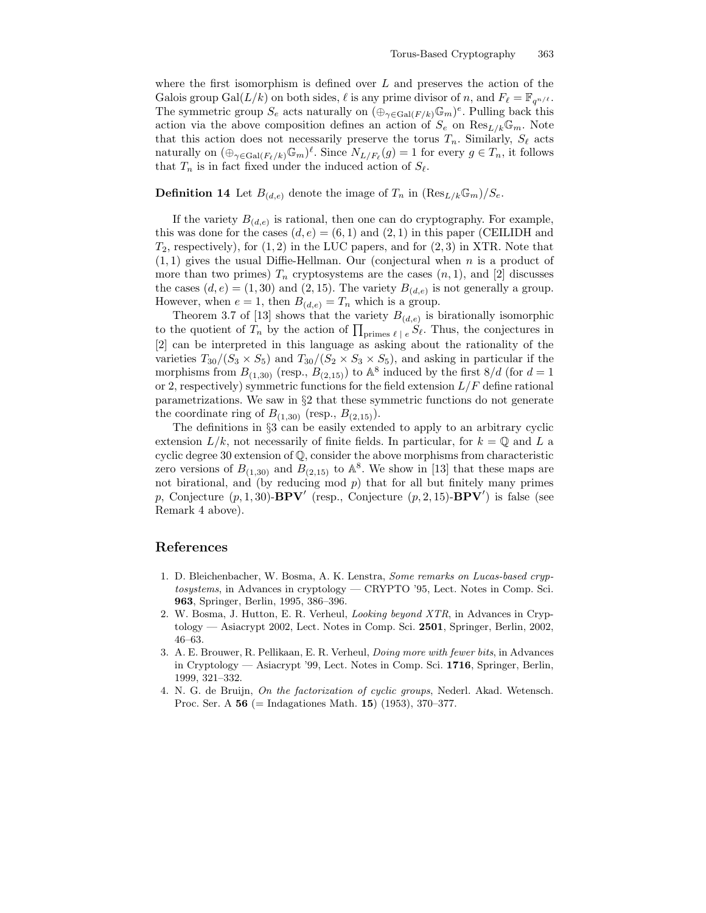where the first isomorphism is defined over  $L$  and preserves the action of the Galois group Gal $(L/k)$  on both sides,  $\ell$  is any prime divisor of n, and  $F_{\ell} = \mathbb{F}_{q^{n/\ell}}$ . The symmetric group  $S_e$  acts naturally on  $(\bigoplus_{\gamma \in \text{Gal}(F/k)} \mathbb{G}_m)^e$ . Pulling back this action via the above composition defines an action of  $S_e$  on  $\text{Res}_{L/k}\mathbb{G}_m$ . Note that this action does not necessarily preserve the torus  $T_n$ . Similarly,  $S_\ell$  acts naturally on  $(\bigoplus_{\gamma \in \text{Gal}(F_{\ell}/k)} \mathbb{G}_m)^{\ell}$ . Since  $N_{L/F_{\ell}}(g) = 1$  for every  $g \in T_n$ , it follows that  $T_n$  is in fact fixed under the induced action of  $S_\ell$ .

### **Definition 14** Let  $B_{(d,e)}$  denote the image of  $T_n$  in  $(\text{Res}_{L/k}\mathbb{G}_m)/S_e$ .

If the variety  $B_{(d,e)}$  is rational, then one can do cryptography. For example, this was done for the cases  $(d, e) = (6, 1)$  and  $(2, 1)$  in this paper (CEILIDH and  $T_2$ , respectively), for  $(1, 2)$  in the LUC papers, and for  $(2, 3)$  in XTR. Note that  $(1, 1)$  gives the usual Diffie-Hellman. Our (conjectural when n is a product of more than two primes)  $T_n$  cryptosystems are the cases  $(n, 1)$ , and [2] discusses the cases  $(d, e) = (1, 30)$  and  $(2, 15)$ . The variety  $B_{(d,e)}$  is not generally a group. However, when  $e = 1$ , then  $B_{(d,e)} = T_n$  which is a group.

Theorem 3.7 of [13] shows that the variety  $B_{(d,e)}$  is birationally isomorphic to the quotient of  $T_n$  by the action of  $\prod_{\text{primes }\ell \ |\ e} S_{\ell}$ . Thus, the conjectures in [2] can be interpreted in this language as asking about the rationality of the varieties  $T_{30}/(S_3 \times S_5)$  and  $T_{30}/(S_2 \times S_3 \times S_5)$ , and asking in particular if the morphisms from  $B_{(1,30)}$  (resp.,  $B_{(2,15)}$ ) to  $\mathbb{A}^8$  induced by the first  $8/d$  (for  $d=1$ or 2, respectively) symmetric functions for the field extension  $L/F$  define rational parametrizations. We saw in §2 that these symmetric functions do not generate the coordinate ring of  $B_{(1,30)}$  (resp.,  $B_{(2,15)}$ ).

The definitions in §3 can be easily extended to apply to an arbitrary cyclic extension  $L/k$ , not necessarily of finite fields. In particular, for  $k = \mathbb{Q}$  and L a cyclic degree 30 extension of Q, consider the above morphisms from characteristic zero versions of  $B_{(1,30)}$  and  $B_{(2,15)}$  to  $\mathbb{A}^8$ . We show in [13] that these maps are not birational, and (by reducing mod  $p$ ) that for all but finitely many primes p, Conjecture  $(p, 1, 30)$ -**BPV'** (resp., Conjecture  $(p, 2, 15)$ -**BPV'**) is false (see Remark 4 above).

## References

- 1. D. Bleichenbacher, W. Bosma, A. K. Lenstra, Some remarks on Lucas-based cryptosystems, in Advances in cryptology — CRYPTO '95, Lect. Notes in Comp. Sci. 963, Springer, Berlin, 1995, 386–396.
- 2. W. Bosma, J. Hutton, E. R. Verheul, Looking beyond XTR, in Advances in Cryptology — Asiacrypt 2002, Lect. Notes in Comp. Sci. 2501, Springer, Berlin, 2002, 46–63.
- 3. A. E. Brouwer, R. Pellikaan, E. R. Verheul, Doing more with fewer bits, in Advances in Cryptology — Asiacrypt '99, Lect. Notes in Comp. Sci. 1716, Springer, Berlin, 1999, 321–332.
- 4. N. G. de Bruijn, On the factorization of cyclic groups, Nederl. Akad. Wetensch. Proc. Ser. A  $56$  (= Indagationes Math. 15) (1953), 370–377.